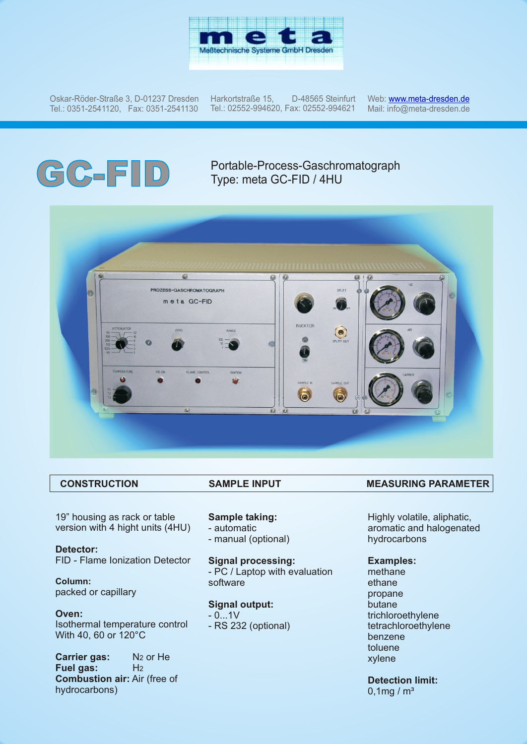

Oskar-Röder-Straße 3, D-01237 Dresden Tel.: 0351-2541120, Fax: 0351-2541130

Harkortstraße 15, D-48565 Steinfurt Tel.: 02552-994620, Fax: 02552-994621

Web: <u>w[ww.meta-dresden.de](http://www.meta-dresden.de)</u> Mail: info@meta-dresden.de

# **GC-FID** Portable-Process-Gaschromatograph<br>Type: meta GC-FID / 4HU Type: meta GC-FID / 4HU



19" housing as rack or table version with 4 hight units (4HU)

**Detector:** FID - Flame Ionization Detector

**Column:** packed or capillary

**Oven:** Isothermal temperature control With 40, 60 or 120°C

**Carrier gas:** N<sub>2</sub> or He **Fuel gas:** H2 **Combustion air:** Air (free of hydrocarbons)

### **Sample taking:**

- automatic
- manual (optional)

**Signal processing:** - PC / Laptop with evaluation software

# **Signal output:**

 $- 0...1V$ 

- RS 232 (optional)

# **CONSTRUCTION SAMPLE INPUT MEASURING PARAMETER**

Highly volatile, aliphatic, aromatic and halogenated hydrocarbons

#### **Examples:**

methane ethane propane butane trichloroethylene tetrachloroethylene benzene toluene xylene

# **Detection limit:**

 $0,1$ mg / m<sup>3</sup>